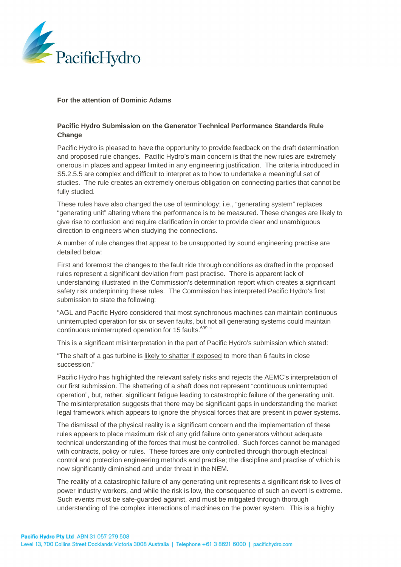

## **For the attention of Dominic Adams**

## **Pacific Hydro Submission on the Generator Technical Performance Standards Rule Change**

Pacific Hydro is pleased to have the opportunity to provide feedback on the draft determination and proposed rule changes. Pacific Hydro's main concern is that the new rules are extremely onerous in places and appear limited in any engineering justification. The criteria introduced in S5.2.5.5 are complex and difficult to interpret as to how to undertake a meaningful set of studies. The rule creates an extremely onerous obligation on connecting parties that cannot be fully studied.

These rules have also changed the use of terminology; i.e., "generating system" replaces "generating unit" altering where the performance is to be measured. These changes are likely to give rise to confusion and require clarification in order to provide clear and unambiguous direction to engineers when studying the connections.

A number of rule changes that appear to be unsupported by sound engineering practise are detailed below:

First and foremost the changes to the fault ride through conditions as drafted in the proposed rules represent a significant deviation from past practise. There is apparent lack of understanding illustrated in the Commission's determination report which creates a significant safety risk underpinning these rules. The Commission has interpreted Pacific Hydro's first submission to state the following:

"AGL and Pacific Hydro considered that most synchronous machines can maintain continuous uninterrupted operation for six or seven faults, but not all generating systems could maintain continuous uninterrupted operation for 15 faults.<sup>699</sup> "

This is a significant misinterpretation in the part of Pacific Hydro's submission which stated:

"The shaft of a gas turbine is likely to shatter if exposed to more than 6 faults in close succession."

Pacific Hydro has highlighted the relevant safety risks and rejects the AEMC's interpretation of our first submission. The shattering of a shaft does not represent "continuous uninterrupted operation", but, rather, significant fatigue leading to catastrophic failure of the generating unit. The misinterpretation suggests that there may be significant gaps in understanding the market legal framework which appears to ignore the physical forces that are present in power systems.

The dismissal of the physical reality is a significant concern and the implementation of these rules appears to place maximum risk of any grid failure onto generators without adequate technical understanding of the forces that must be controlled. Such forces cannot be managed with contracts, policy or rules. These forces are only controlled through thorough electrical control and protection engineering methods and practise; the discipline and practise of which is now significantly diminished and under threat in the NEM.

The reality of a catastrophic failure of any generating unit represents a significant risk to lives of power industry workers, and while the risk is low, the consequence of such an event is extreme. Such events must be safe-guarded against, and must be mitigated through thorough understanding of the complex interactions of machines on the power system. This is a highly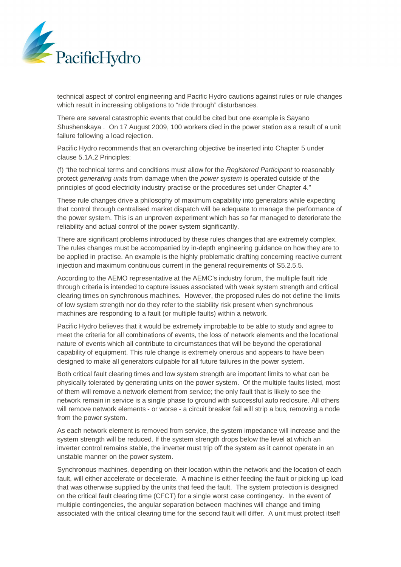

technical aspect of control engineering and Pacific Hydro cautions against rules or rule changes which result in increasing obligations to "ride through" disturbances.

There are several catastrophic events that could be cited but one example is Sayano Shushenskaya . On 17 August 2009, 100 workers died in the power station as a result of a unit failure following a load rejection.

Pacific Hydro recommends that an overarching objective be inserted into Chapter 5 under clause 5.1A.2 Principles:

(f) "the technical terms and conditions must allow for the *Registered Participant* to reasonably protect *generating units* from damage when the *power system* is operated outside of the principles of good electricity industry practise or the procedures set under Chapter 4."

These rule changes drive a philosophy of maximum capability into generators while expecting that control through centralised market dispatch will be adequate to manage the performance of the power system. This is an unproven experiment which has so far managed to deteriorate the reliability and actual control of the power system significantly.

There are significant problems introduced by these rules changes that are extremely complex. The rules changes must be accompanied by in-depth engineering guidance on how they are to be applied in practise. An example is the highly problematic drafting concerning reactive current injection and maximum continuous current in the general requirements of S5.2.5.5.

According to the AEMO representative at the AEMC's industry forum, the multiple fault ride through criteria is intended to capture issues associated with weak system strength and critical clearing times on synchronous machines. However, the proposed rules do not define the limits of low system strength nor do they refer to the stability risk present when synchronous machines are responding to a fault (or multiple faults) within a network.

Pacific Hydro believes that it would be extremely improbable to be able to study and agree to meet the criteria for all combinations of events, the loss of network elements and the locational nature of events which all contribute to circumstances that will be beyond the operational capability of equipment. This rule change is extremely onerous and appears to have been designed to make all generators culpable for all future failures in the power system.

Both critical fault clearing times and low system strength are important limits to what can be physically tolerated by generating units on the power system. Of the multiple faults listed, most of them will remove a network element from service; the only fault that is likely to see the network remain in service is a single phase to ground with successful auto reclosure. All others will remove network elements - or worse - a circuit breaker fail will strip a bus, removing a node from the power system.

As each network element is removed from service, the system impedance will increase and the system strength will be reduced. If the system strength drops below the level at which an inverter control remains stable, the inverter must trip off the system as it cannot operate in an unstable manner on the power system.

Synchronous machines, depending on their location within the network and the location of each fault, will either accelerate or decelerate. A machine is either feeding the fault or picking up load that was otherwise supplied by the units that feed the fault. The system protection is designed on the critical fault clearing time (CFCT) for a single worst case contingency. In the event of multiple contingencies, the angular separation between machines will change and timing associated with the critical clearing time for the second fault will differ. A unit must protect itself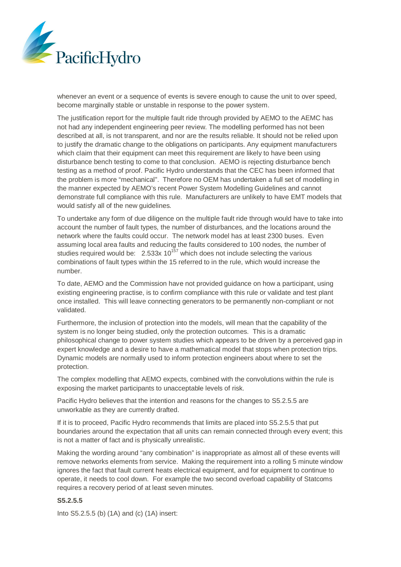

whenever an event or a sequence of events is severe enough to cause the unit to over speed, become marginally stable or unstable in response to the power system.

The justification report for the multiple fault ride through provided by AEMO to the AEMC has not had any independent engineering peer review. The modelling performed has not been described at all, is not transparent, and nor are the results reliable. It should not be relied upon to justify the dramatic change to the obligations on participants. Any equipment manufacturers which claim that their equipment can meet this requirement are likely to have been using disturbance bench testing to come to that conclusion. AEMO is rejecting disturbance bench testing as a method of proof. Pacific Hydro understands that the CEC has been informed that the problem is more "mechanical". Therefore no OEM has undertaken a full set of modelling in the manner expected by AEMO's recent Power System Modelling Guidelines and cannot demonstrate full compliance with this rule. Manufacturers are unlikely to have EMT models that would satisfy all of the new guidelines.

To undertake any form of due diligence on the multiple fault ride through would have to take into account the number of fault types, the number of disturbances, and the locations around the network where the faults could occur. The network model has at least 2300 buses. Even assuming local area faults and reducing the faults considered to 100 nodes, the number of studies required would be:  $2.533x 10^{157}$  which does not include selecting the various combinations of fault types within the 15 referred to in the rule, which would increase the number.

To date, AEMO and the Commission have not provided guidance on how a participant, using existing engineering practise, is to confirm compliance with this rule or validate and test plant once installed. This will leave connecting generators to be permanently non-compliant or not validated.

Furthermore, the inclusion of protection into the models, will mean that the capability of the system is no longer being studied, only the protection outcomes. This is a dramatic philosophical change to power system studies which appears to be driven by a perceived gap in expert knowledge and a desire to have a mathematical model that stops when protection trips. Dynamic models are normally used to inform protection engineers about where to set the protection.

The complex modelling that AEMO expects, combined with the convolutions within the rule is exposing the market participants to unacceptable levels of risk.

Pacific Hydro believes that the intention and reasons for the changes to S5.2.5.5 are unworkable as they are currently drafted.

If it is to proceed, Pacific Hydro recommends that limits are placed into S5.2.5.5 that put boundaries around the expectation that all units can remain connected through every event; this is not a matter of fact and is physically unrealistic.

Making the wording around "any combination" is inappropriate as almost all of these events will remove networks elements from service. Making the requirement into a rolling 5 minute window ignores the fact that fault current heats electrical equipment, and for equipment to continue to operate, it needs to cool down. For example the two second overload capability of Statcoms requires a recovery period of at least seven minutes.

#### **S5.2.5.5**

Into S5.2.5.5 (b) (1A) and (c) (1A) insert: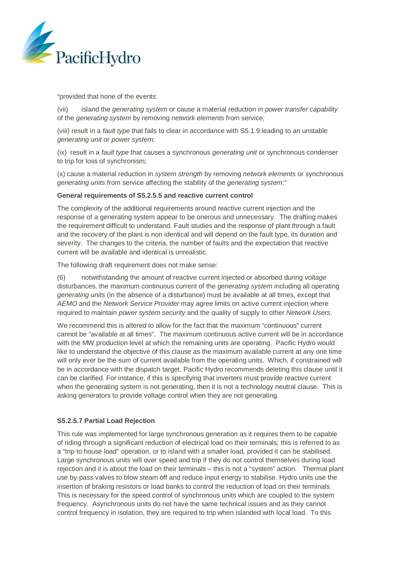

"provided that none of the events:

(vii) island the *generating system* or cause a material reduction in *power transfer capability* of the *generating system* by removing *network elements* from service*;*

(viii) result in a *fault type* that fails to clear in accordance with S5.1.9 leading to an unstable *generating unit* or *power system;*

(ix) result in a *fault type* that causes a synchronous *generating unit* or synchronous condenser to trip for loss of synchronism;

(x) cause a material reduction in *system strength* by removing *network elements* or synchronous *generating units* from service affecting the stability of the *generating system*;"

#### **General requirements of S5.2.5.5 and reactive current control**

The complexity of the additional requirements around reactive current injection and the response of a generating system appear to be onerous and unnecessary. The drafting makes the requirement difficult to understand. Fault studies and the response of plant through a fault and the recovery of the plant is non identical and will depend on the fault type, its duration and severity. The changes to the criteria, the number of faults and the expectation that reactive current will be available and identical is unrealistic.

The following draft requirement does not make sense:

(6) notwithstanding the amount of reactive current injected or absorbed during *voltage* disturbances, the maximum continuous current of the *generating system* including all operating *generating units* (in the absence of a disturbance) must be available at all times, except that *AEMO* and the *Network Service Provider* may agree limits on active current injection where required to maintain *power system security* and the quality of supply to other *Network Users*.

We recommend this is altered to allow for the fact that the maximum "continuous" current cannot be "available at all times". The maximum continuous active current will be in accordance with the MW production level at which the remaining units are operating. Pacific Hydro would like to understand the objective of this clause as the maximum available current at any one time will only ever be the sum of current available from the operating units. Which, if constrained will be in accordance with the dispatch target. Pacific Hydro recommends deleting this clause until it can be clarified. For instance, if this is specifying that inverters must provide reactive current when the generating system is not generating, then it is not a technology neutral clause. This is asking generators to provide voltage control when they are not generating.

## **S5.2.5.7 Partial Load Rejection**

This rule was implemented for large synchronous generation as it requires them to be capable of riding through a significant reduction of electrical load on their terminals; this is referred to as a "trip to house load" operation, or to island with a smaller load, provided it can be stabilised. Large synchronous units will over speed and trip if they do not control themselves during load rejection and it is about the load on their terminals – this is not a "system" action. Thermal plant use by-pass valves to blow steam off and reduce input energy to stabilise. Hydro units use the insertion of braking resistors or load banks to control the reduction of load on their terminals. This is necessary for the speed control of synchronous units which are coupled to the system frequency. Asynchronous units do not have the same technical issues and as they cannot control frequency in isolation, they are required to trip when islanded with local load. To this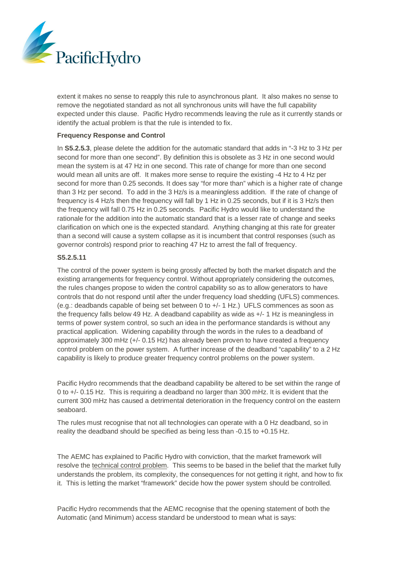

extent it makes no sense to reapply this rule to asynchronous plant. It also makes no sense to remove the negotiated standard as not all synchronous units will have the full capability expected under this clause. Pacific Hydro recommends leaving the rule as it currently stands or identify the actual problem is that the rule is intended to fix.

#### **Frequency Response and Control**

In **S5.2.5.3**, please delete the addition for the automatic standard that adds in "-3 Hz to 3 Hz per second for more than one second". By definition this is obsolete as 3 Hz in one second would mean the system is at 47 Hz in one second. This rate of change for more than one second would mean all units are off. It makes more sense to require the existing -4 Hz to 4 Hz per second for more than 0.25 seconds. It does say "for more than" which is a higher rate of change than 3 Hz per second. To add in the 3 Hz/s is a meaningless addition. If the rate of change of frequency is 4 Hz/s then the frequency will fall by 1 Hz in 0.25 seconds, but if it is 3 Hz/s then the frequency will fall 0.75 Hz in 0.25 seconds. Pacific Hydro would like to understand the rationale for the addition into the automatic standard that is a lesser rate of change and seeks clarification on which one is the expected standard. Anything changing at this rate for greater than a second will cause a system collapse as it is incumbent that control responses (such as governor controls) respond prior to reaching 47 Hz to arrest the fall of frequency.

#### **S5.2.5.11**

The control of the power system is being grossly affected by both the market dispatch and the existing arrangements for frequency control. Without appropriately considering the outcomes, the rules changes propose to widen the control capability so as to allow generators to have controls that do not respond until after the under frequency load shedding (UFLS) commences. (e.g.: deadbands capable of being set between 0 to +/- 1 Hz.) UFLS commences as soon as the frequency falls below 49 Hz. A deadband capability as wide as +/- 1 Hz is meaningless in terms of power system control, so such an idea in the performance standards is without any practical application. Widening capability through the words in the rules to a deadband of approximately 300 mHz (+/- 0.15 Hz) has already been proven to have created a frequency control problem on the power system. A further increase of the deadband "capability" to a 2 Hz capability is likely to produce greater frequency control problems on the power system.

Pacific Hydro recommends that the deadband capability be altered to be set within the range of 0 to +/- 0.15 Hz. This is requiring a deadband no larger than 300 mHz. It is evident that the current 300 mHz has caused a detrimental deterioration in the frequency control on the eastern seaboard.

The rules must recognise that not all technologies can operate with a 0 Hz deadband, so in reality the deadband should be specified as being less than -0.15 to +0.15 Hz.

The AEMC has explained to Pacific Hydro with conviction, that the market framework will resolve the technical control problem. This seems to be based in the belief that the market fully understands the problem, its complexity, the consequences for not getting it right, and how to fix it. This is letting the market "framework" decide how the power system should be controlled.

Pacific Hydro recommends that the AEMC recognise that the opening statement of both the Automatic (and Minimum) access standard be understood to mean what is says: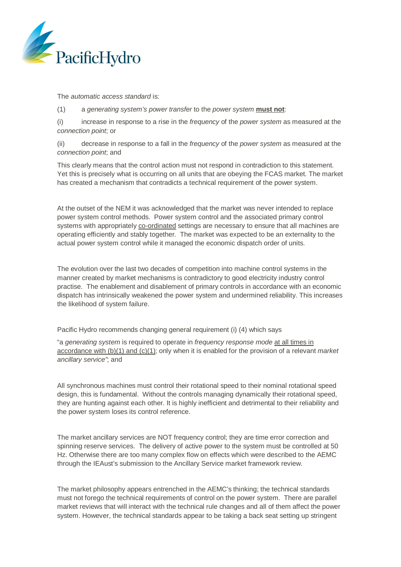

The *automatic access standard* is:

(1) a *generating system's power transfer* to the *power system* **must not**:

(i) increase in response to a rise in the *frequency* of the *power system* as measured at the *connection point*; or

(ii) decrease in response to a fall in the *frequency* of the *power system* as measured at the *connection point*; and

This clearly means that the control action must not respond in contradiction to this statement. Yet this is precisely what is occurring on all units that are obeying the FCAS market. The market has created a mechanism that contradicts a technical requirement of the power system.

At the outset of the NEM it was acknowledged that the market was never intended to replace power system control methods. Power system control and the associated primary control systems with appropriately co-ordinated settings are necessary to ensure that all machines are operating efficiently and stably together. The market was expected to be an externality to the actual power system control while it managed the economic dispatch order of units.

The evolution over the last two decades of competition into machine control systems in the manner created by market mechanisms is contradictory to good electricity industry control practise. The enablement and disablement of primary controls in accordance with an economic dispatch has intrinsically weakened the power system and undermined reliability. This increases the likelihood of system failure.

Pacific Hydro recommends changing general requirement (i) (4) which says

"a *generating system* is required to operate in *frequency response mode* at all times in accordance with (b)(1) and (c)(1); only when it is enabled for the provision of a relevant *market ancillary service"*; and

All synchronous machines must control their rotational speed to their nominal rotational speed design, this is fundamental. Without the controls managing dynamically their rotational speed, they are hunting against each other. It is highly inefficient and detrimental to their reliability and the power system loses its control reference.

The market ancillary services are NOT frequency control; they are time error correction and spinning reserve services. The delivery of active power to the system must be controlled at 50 Hz. Otherwise there are too many complex flow on effects which were described to the AEMC through the IEAust's submission to the Ancillary Service market framework review.

The market philosophy appears entrenched in the AEMC's thinking; the technical standards must not forego the technical requirements of control on the power system. There are parallel market reviews that will interact with the technical rule changes and all of them affect the power system. However, the technical standards appear to be taking a back seat setting up stringent